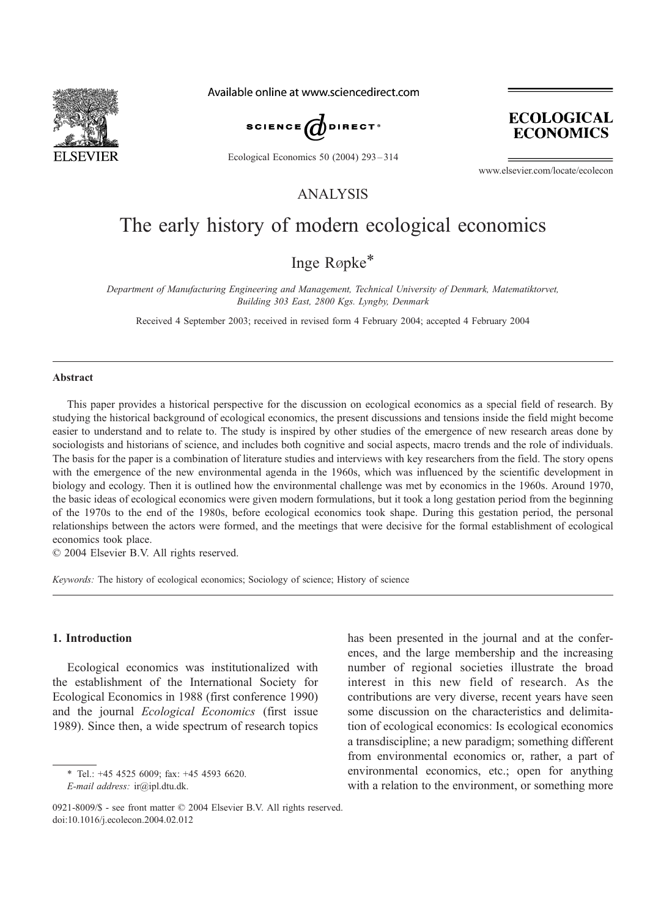

Available online at www.sciencedirect.com



Ecological Economics 50 (2004) 293 – 314

**ECOLOGICAL ECONOMICS** 

www.elsevier.com/locate/ecolecon

ANALYSIS

## The early history of modern ecological economics

### Inge Røpke<sup>\*</sup>

Department of Manufacturing Engineering and Management, Technical University of Denmark, Matematiktorvet, Building 303 East, 2800 Kgs. Lyngby, Denmark

Received 4 September 2003; received in revised form 4 February 2004; accepted 4 February 2004

#### Abstract

This paper provides a historical perspective for the discussion on ecological economics as a special field of research. By studying the historical background of ecological economics, the present discussions and tensions inside the field might become easier to understand and to relate to. The study is inspired by other studies of the emergence of new research areas done by sociologists and historians of science, and includes both cognitive and social aspects, macro trends and the role of individuals. The basis for the paper is a combination of literature studies and interviews with key researchers from the field. The story opens with the emergence of the new environmental agenda in the 1960s, which was influenced by the scientific development in biology and ecology. Then it is outlined how the environmental challenge was met by economics in the 1960s. Around 1970, the basic ideas of ecological economics were given modern formulations, but it took a long gestation period from the beginning of the 1970s to the end of the 1980s, before ecological economics took shape. During this gestation period, the personal relationships between the actors were formed, and the meetings that were decisive for the formal establishment of ecological economics took place.

 $© 2004 Elsevier B.V. All rights reserved.$ 

Keywords: The history of ecological economics; Sociology of science; History of science

#### 1. Introduction

Ecological economics was institutionalized with the establishment of the International Society for Ecological Economics in 1988 (first conference 1990) and the journal Ecological Economics (first issue 1989). Since then, a wide spectrum of research topics

\* Tel.: +45 4525 6009; fax: +45 4593 6620. E-mail address: ir@ipl.dtu.dk.

has been presented in the journal and at the conferences, and the large membership and the increasing number of regional societies illustrate the broad interest in this new field of research. As the contributions are very diverse, recent years have seen some discussion on the characteristics and delimitation of ecological economics: Is ecological economics a transdiscipline; a new paradigm; something different from environmental economics or, rather, a part of environmental economics, etc.; open for anything with a relation to the environment, or something more

<sup>0921-8009/\$ -</sup> see front matter  $\odot$  2004 Elsevier B.V. All rights reserved. doi:10.1016/j.ecolecon.2004.02.012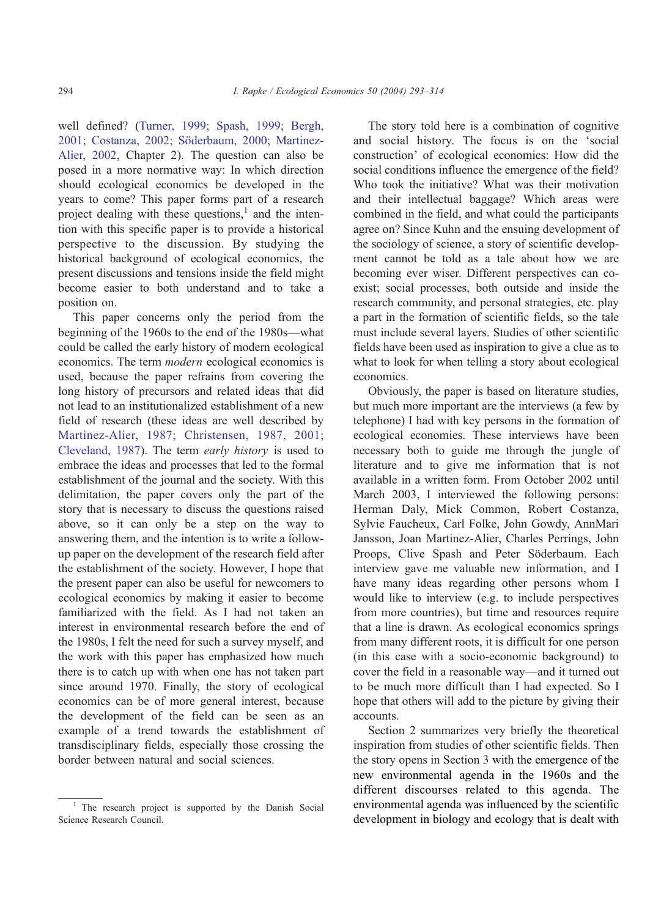well defined? ([Turner, 1999; Spash, 1999; Bergh,](#page--1-0) 2001; Costanza, 2002; Söderbaum, 2000; Martinez-Alier, 2002, Chapter 2). The question can also be posed in a more normative way: In which direction should ecological economics be developed in the years to come? This paper forms part of a research project dealing with these questions, $\frac{1}{2}$  and the intention with this specific paper is to provide a historical perspective to the discussion. By studying the historical background of ecological economics, the present discussions and tensions inside the field might become easier to both understand and to take a position on.

This paper concerns only the period from the beginning of the 1960s to the end of the 1980s—what could be called the early history of modern ecological economics. The term modern ecological economics is used, because the paper refrains from covering the long history of precursors and related ideas that did not lead to an institutionalized establishment of a new field of research (these ideas are well described by [Martinez-Alier, 1987; Christensen, 1987, 2001;](#page--1-0) Cleveland, 1987). The term early history is used to embrace the ideas and processes that led to the formal establishment of the journal and the society. With this delimitation, the paper covers only the part of the story that is necessary to discuss the questions raised above, so it can only be a step on the way to answering them, and the intention is to write a followup paper on the development of the research field after the establishment of the society. However, I hope that the present paper can also be useful for newcomers to ecological economics by making it easier to become familiarized with the field. As I had not taken an interest in environmental research before the end of the 1980s, I felt the need for such a survey myself, and the work with this paper has emphasized how much there is to catch up with when one has not taken part since around 1970. Finally, the story of ecological economics can be of more general interest, because the development of the field can be seen as an example of a trend towards the establishment of transdisciplinary fields, especially those crossing the border between natural and social sciences.

The story told here is a combination of cognitive and social history. The focus is on the 'social construction' of ecological economics: How did the social conditions influence the emergence of the field? Who took the initiative? What was their motivation and their intellectual baggage? Which areas were combined in the field, and what could the participants agree on? Since Kuhn and the ensuing development of the sociology of science, a story of scientific development cannot be told as a tale about how we are becoming ever wiser. Different perspectives can coexist; social processes, both outside and inside the research community, and personal strategies, etc. play a part in the formation of scientific fields, so the tale must include several layers. Studies of other scientific fields have been used as inspiration to give a clue as to what to look for when telling a story about ecological economics.

Obviously, the paper is based on literature studies, but much more important are the interviews (a few by telephone) I had with key persons in the formation of ecological economies. These interviews have been necessary both to guide me through the jungle of literature and to give me information that is not available in a written form. From October 2002 until March 2003, I interviewed the following persons: Herman Daly, Mick Common, Robert Costanza, Sylvie Faucheux, Carl Folke, John Gowdy, AnnMari Jansson, Joan Martinez-Alier, Charles Perrings, John Proops, Clive Spash and Peter Söderbaum. Each interview gave me valuable new information, and I have many ideas regarding other persons whom I would like to interview (e.g. to include perspectives from more countries), but time and resources require that a line is drawn. As ecological economics springs from many different roots, it is difficult for one person (in this case with a socio-economic background) to cover the field in a reasonable way—and it turned out to be much more difficult than I had expected. So I hope that others will add to the picture by giving their accounts.

Section 2 summarizes very briefly the theoretical inspiration from studies of other scientific fields. Then the story opens in Section 3 with the emergence of the new environmental agenda in the 1960s and the different discourses related to this agenda. The environmental agenda was influenced by the scientific development in biology and ecology that is dealt with

<sup>&</sup>lt;sup>1</sup> The research project is supported by the Danish Social Science Research Council.